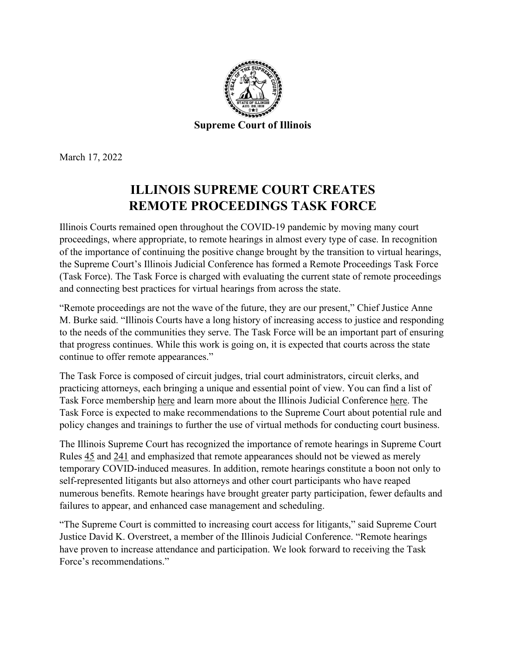

March 17, 2022

## **ILLINOIS SUPREME COURT CREATES REMOTE PROCEEDINGS TASK FORCE**

Illinois Courts remained open throughout the COVID-19 pandemic by moving many court proceedings, where appropriate, to remote hearings in almost every type of case. In recognition of the importance of continuing the positive change brought by the transition to virtual hearings, the Supreme Court's Illinois Judicial Conference has formed a Remote Proceedings Task Force (Task Force). The Task Force is charged with evaluating the current state of remote proceedings and connecting best practices for virtual hearings from across the state.

"Remote proceedings are not the wave of the future, they are our present," Chief Justice Anne M. Burke said. "Illinois Courts have a long history of increasing access to justice and responding to the needs of the communities they serve. The Task Force will be an important part of ensuring that progress continues. While this work is going on, it is expected that courts across the state continue to offer remote appearances."

The Task Force is composed of circuit judges, trial court administrators, circuit clerks, and practicing attorneys, each bringing a unique and essential point of view. You can find a list of Task Force membership [here](https://ilcourtsaudio.blob.core.windows.net/antilles-resources/resources/c1aab413-6fef-42b6-b966-82fc54ce4a02/Remote Proceedings Task Force.pdf) and learn more about the Illinois Judicial Conference [here.](https://www.illinoiscourts.gov/courts/supreme-court/illinois-judicial-conference/) The Task Force is expected to make recommendations to the Supreme Court about potential rule and policy changes and trainings to further the use of virtual methods for conducting court business.

The Illinois Supreme Court has recognized the importance of remote hearings in Supreme Court Rules [45](https://ilcourtsaudio.blob.core.windows.net/antilles-resources/resources/f06d63ba-828e-40f2-8ae2-ef4b11c9c66b/Rule%2045.pdf) and [241](https://ilcourtsaudio.blob.core.windows.net/antilles-resources/resources/1b9d5146-03d2-4488-81a4-f98a8befdc39/Rule%20241.pdf) and emphasized that remote appearances should not be viewed as merely temporary COVID-induced measures. In addition, remote hearings constitute a boon not only to self-represented litigants but also attorneys and other court participants who have reaped numerous benefits. Remote hearings have brought greater party participation, fewer defaults and failures to appear, and enhanced case management and scheduling.

"The Supreme Court is committed to increasing court access for litigants," said Supreme Court Justice David K. Overstreet, a member of the Illinois Judicial Conference. "Remote hearings have proven to increase attendance and participation. We look forward to receiving the Task Force's recommendations."